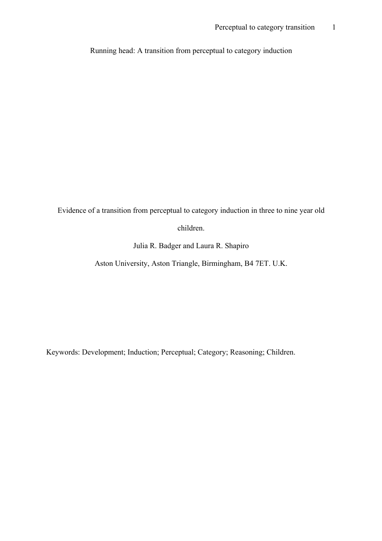Running head: A transition from perceptual to category induction

Evidence of a transition from perceptual to category induction in three to nine year old

children.

Julia R. Badger and Laura R. Shapiro

Aston University, Aston Triangle, Birmingham, B4 7ET. U.K.

Keywords: Development; Induction; Perceptual; Category; Reasoning; Children.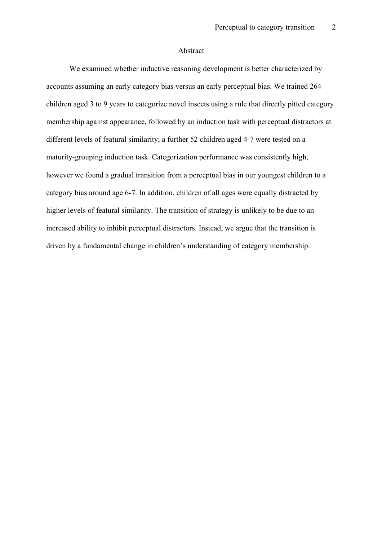#### Abstract

We examined whether inductive reasoning development is better characterized by accounts assuming an early category bias versus an early perceptual bias. We trained 264 children aged 3 to 9 years to categorize novel insects using a rule that directly pitted category membership against appearance, followed by an induction task with perceptual distractors at different levels of featural similarity; a further 52 children aged 4-7 were tested on a maturity-grouping induction task. Categorization performance was consistently high, however we found a gradual transition from a perceptual bias in our youngest children to a category bias around age 6-7. In addition, children of all ages were equally distracted by higher levels of featural similarity. The transition of strategy is unlikely to be due to an increased ability to inhibit perceptual distractors. Instead, we argue that the transition is driven by a fundamental change in children's understanding of category membership.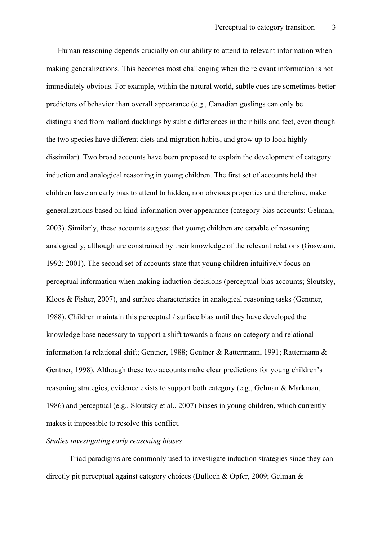Human reasoning depends crucially on our ability to attend to relevant information when making generalizations. This becomes most challenging when the relevant information is not immediately obvious. For example, within the natural world, subtle cues are sometimes better predictors of behavior than overall appearance (e.g., Canadian goslings can only be distinguished from mallard ducklings by subtle differences in their bills and feet, even though the two species have different diets and migration habits, and grow up to look highly dissimilar). Two broad accounts have been proposed to explain the development of category induction and analogical reasoning in young children. The first set of accounts hold that children have an early bias to attend to hidden, non obvious properties and therefore, make generalizations based on kind-information over appearance (category-bias accounts; Gelman, 2003). Similarly, these accounts suggest that young children are capable of reasoning analogically, although are constrained by their knowledge of the relevant relations (Goswami, 1992; 2001). The second set of accounts state that young children intuitively focus on perceptual information when making induction decisions (perceptual-bias accounts; Sloutsky, Kloos & Fisher, 2007), and surface characteristics in analogical reasoning tasks (Gentner, 1988). Children maintain this perceptual / surface bias until they have developed the knowledge base necessary to support a shift towards a focus on category and relational information (a relational shift; Gentner, 1988; Gentner & Rattermann, 1991; Rattermann & Gentner, 1998). Although these two accounts make clear predictions for young children's reasoning strategies, evidence exists to support both category (e.g., Gelman & Markman, 1986) and perceptual (e.g., Sloutsky et al., 2007) biases in young children, which currently makes it impossible to resolve this conflict.

## *Studies investigating early reasoning biases*

Triad paradigms are commonly used to investigate induction strategies since they can directly pit perceptual against category choices (Bulloch & Opfer, 2009; Gelman &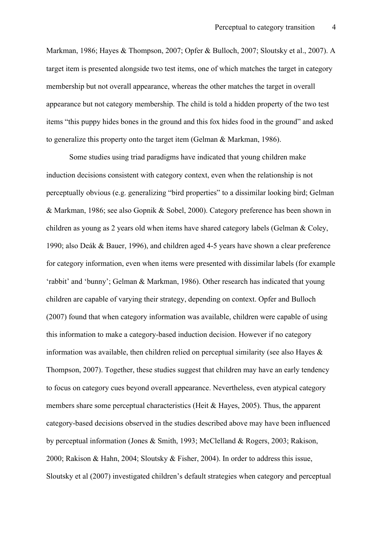Markman, 1986; Hayes & Thompson, 2007; Opfer & Bulloch, 2007; Sloutsky et al., 2007). A target item is presented alongside two test items, one of which matches the target in category membership but not overall appearance, whereas the other matches the target in overall appearance but not category membership. The child is told a hidden property of the two test items "this puppy hides bones in the ground and this fox hides food in the ground" and asked to generalize this property onto the target item (Gelman & Markman, 1986).

Some studies using triad paradigms have indicated that young children make induction decisions consistent with category context, even when the relationship is not perceptually obvious (e.g. generalizing "bird properties" to a dissimilar looking bird; Gelman & Markman, 1986; see also Gopnik & Sobel, 2000). Category preference has been shown in children as young as 2 years old when items have shared category labels (Gelman & Coley, 1990; also Deák & Bauer, 1996), and children aged 4-5 years have shown a clear preference for category information, even when items were presented with dissimilar labels (for example 'rabbit' and 'bunny'; Gelman & Markman, 1986). Other research has indicated that young children are capable of varying their strategy, depending on context. Opfer and Bulloch (2007) found that when category information was available, children were capable of using this information to make a category-based induction decision. However if no category information was available, then children relied on perceptual similarity (see also Hayes  $\&$ Thompson, 2007). Together, these studies suggest that children may have an early tendency to focus on category cues beyond overall appearance. Nevertheless, even atypical category members share some perceptual characteristics (Heit & Hayes, 2005). Thus, the apparent category-based decisions observed in the studies described above may have been influenced by perceptual information (Jones & Smith, 1993; McClelland & Rogers, 2003; Rakison, 2000; Rakison & Hahn, 2004; Sloutsky & Fisher, 2004). In order to address this issue, Sloutsky et al (2007) investigated children's default strategies when category and perceptual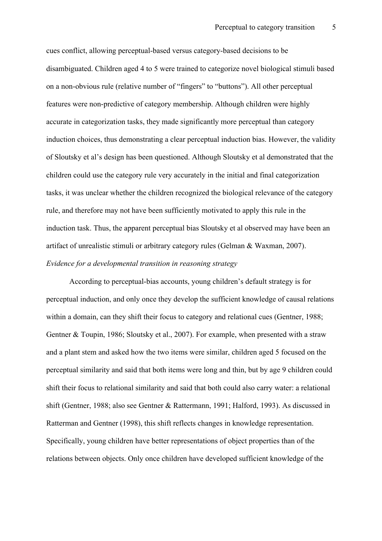cues conflict, allowing perceptual-based versus category-based decisions to be disambiguated. Children aged 4 to 5 were trained to categorize novel biological stimuli based on a non-obvious rule (relative number of "fingers" to "buttons"). All other perceptual features were non-predictive of category membership. Although children were highly accurate in categorization tasks, they made significantly more perceptual than category induction choices, thus demonstrating a clear perceptual induction bias. However, the validity of Sloutsky et al's design has been questioned. Although Sloutsky et al demonstrated that the children could use the category rule very accurately in the initial and final categorization tasks, it was unclear whether the children recognized the biological relevance of the category rule, and therefore may not have been sufficiently motivated to apply this rule in the induction task. Thus, the apparent perceptual bias Sloutsky et al observed may have been an artifact of unrealistic stimuli or arbitrary category rules (Gelman & Waxman, 2007). *Evidence for a developmental transition in reasoning strategy*

According to perceptual-bias accounts, young children's default strategy is for perceptual induction, and only once they develop the sufficient knowledge of causal relations within a domain, can they shift their focus to category and relational cues (Gentner, 1988; Gentner & Toupin, 1986; Sloutsky et al., 2007). For example, when presented with a straw and a plant stem and asked how the two items were similar, children aged 5 focused on the perceptual similarity and said that both items were long and thin, but by age 9 children could shift their focus to relational similarity and said that both could also carry water: a relational shift (Gentner, 1988; also see Gentner & Rattermann, 1991; Halford, 1993). As discussed in Ratterman and Gentner (1998), this shift reflects changes in knowledge representation. Specifically, young children have better representations of object properties than of the relations between objects. Only once children have developed sufficient knowledge of the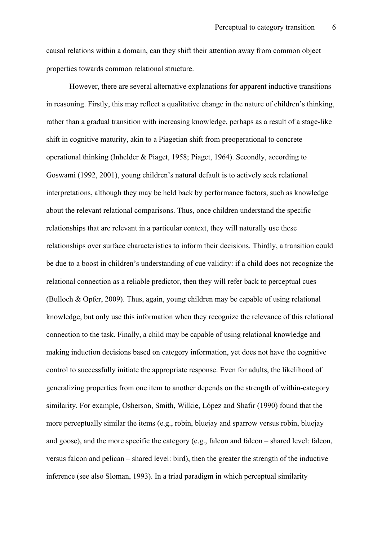causal relations within a domain, can they shift their attention away from common object properties towards common relational structure.

However, there are several alternative explanations for apparent inductive transitions in reasoning. Firstly, this may reflect a qualitative change in the nature of children's thinking, rather than a gradual transition with increasing knowledge, perhaps as a result of a stage-like shift in cognitive maturity, akin to a Piagetian shift from preoperational to concrete operational thinking (Inhelder & Piaget, 1958; Piaget, 1964). Secondly, according to Goswami (1992, 2001), young children's natural default is to actively seek relational interpretations, although they may be held back by performance factors, such as knowledge about the relevant relational comparisons. Thus, once children understand the specific relationships that are relevant in a particular context, they will naturally use these relationships over surface characteristics to inform their decisions. Thirdly, a transition could be due to a boost in children's understanding of cue validity: if a child does not recognize the relational connection as a reliable predictor, then they will refer back to perceptual cues (Bulloch & Opfer, 2009). Thus, again, young children may be capable of using relational knowledge, but only use this information when they recognize the relevance of this relational connection to the task. Finally, a child may be capable of using relational knowledge and making induction decisions based on category information, yet does not have the cognitive control to successfully initiate the appropriate response. Even for adults, the likelihood of generalizing properties from one item to another depends on the strength of within-category similarity. For example, Osherson, Smith, Wilkie, López and Shafir (1990) found that the more perceptually similar the items (e.g., robin, bluejay and sparrow versus robin, bluejay and goose), and the more specific the category (e.g., falcon and falcon – shared level: falcon, versus falcon and pelican – shared level: bird), then the greater the strength of the inductive inference (see also Sloman, 1993). In a triad paradigm in which perceptual similarity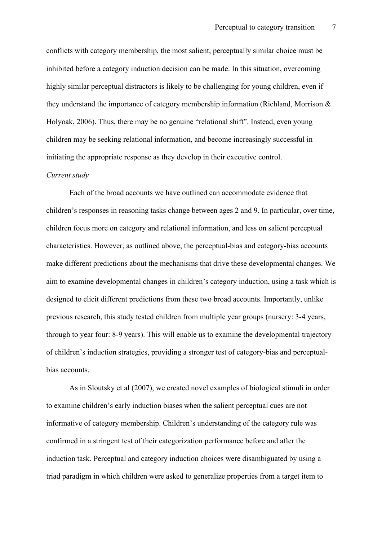conflicts with category membership, the most salient, perceptually similar choice must be inhibited before a category induction decision can be made. In this situation, overcoming highly similar perceptual distractors is likely to be challenging for young children, even if they understand the importance of category membership information (Richland, Morrison & Holyoak, 2006). Thus, there may be no genuine "relational shift". Instead, even young children may be seeking relational information, and become increasingly successful in initiating the appropriate response as they develop in their executive control.

#### *Current study*

Each of the broad accounts we have outlined can accommodate evidence that children's responses in reasoning tasks change between ages 2 and 9. In particular, over time, children focus more on category and relational information, and less on salient perceptual characteristics. However, as outlined above, the perceptual-bias and category-bias accounts make different predictions about the mechanisms that drive these developmental changes. We aim to examine developmental changes in children's category induction, using a task which is designed to elicit different predictions from these two broad accounts. Importantly, unlike previous research, this study tested children from multiple year groups (nursery: 3-4 years, through to year four: 8-9 years). This will enable us to examine the developmental trajectory of children's induction strategies, providing a stronger test of category-bias and perceptualbias accounts.

As in Sloutsky et al (2007), we created novel examples of biological stimuli in order to examine children's early induction biases when the salient perceptual cues are not informative of category membership. Children's understanding of the category rule was confirmed in a stringent test of their categorization performance before and after the induction task. Perceptual and category induction choices were disambiguated by using a triad paradigm in which children were asked to generalize properties from a target item to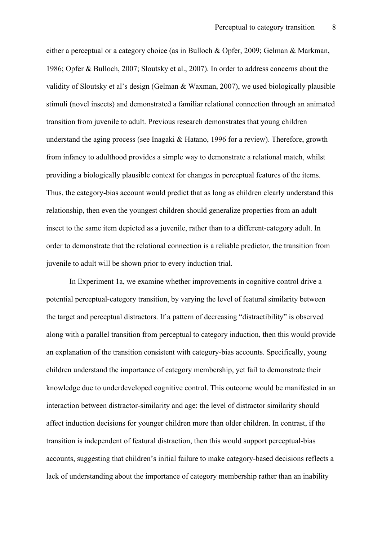either a perceptual or a category choice (as in Bulloch & Opfer, 2009; Gelman & Markman, 1986; Opfer & Bulloch, 2007; Sloutsky et al., 2007). In order to address concerns about the validity of Sloutsky et al's design (Gelman & Waxman, 2007), we used biologically plausible stimuli (novel insects) and demonstrated a familiar relational connection through an animated transition from juvenile to adult. Previous research demonstrates that young children understand the aging process (see Inagaki & Hatano, 1996 for a review). Therefore, growth from infancy to adulthood provides a simple way to demonstrate a relational match, whilst providing a biologically plausible context for changes in perceptual features of the items. Thus, the category-bias account would predict that as long as children clearly understand this relationship, then even the youngest children should generalize properties from an adult insect to the same item depicted as a juvenile, rather than to a different-category adult. In order to demonstrate that the relational connection is a reliable predictor, the transition from juvenile to adult will be shown prior to every induction trial.

In Experiment 1a, we examine whether improvements in cognitive control drive a potential perceptual-category transition, by varying the level of featural similarity between the target and perceptual distractors. If a pattern of decreasing "distractibility" is observed along with a parallel transition from perceptual to category induction, then this would provide an explanation of the transition consistent with category-bias accounts. Specifically, young children understand the importance of category membership, yet fail to demonstrate their knowledge due to underdeveloped cognitive control. This outcome would be manifested in an interaction between distractor-similarity and age: the level of distractor similarity should affect induction decisions for younger children more than older children. In contrast, if the transition is independent of featural distraction, then this would support perceptual-bias accounts, suggesting that children's initial failure to make category-based decisions reflects a lack of understanding about the importance of category membership rather than an inability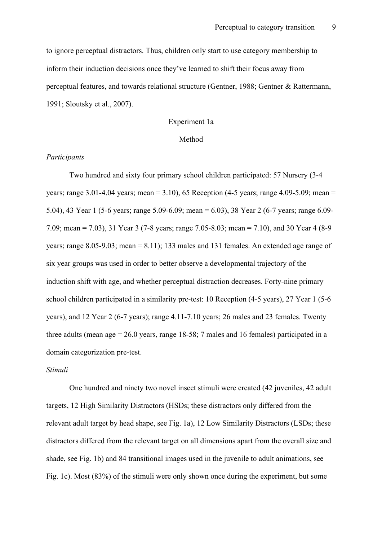to ignore perceptual distractors. Thus, children only start to use category membership to inform their induction decisions once they've learned to shift their focus away from perceptual features, and towards relational structure (Gentner, 1988; Gentner & Rattermann, 1991; Sloutsky et al., 2007).

### Experiment 1a

### Method

### *Participants*

Two hundred and sixty four primary school children participated: 57 Nursery (3-4 years; range 3.01-4.04 years; mean = 3.10), 65 Reception (4-5 years; range 4.09-5.09; mean = 5.04), 43 Year 1 (5-6 years; range 5.09-6.09; mean = 6.03), 38 Year 2 (6-7 years; range 6.09- 7.09; mean = 7.03), 31 Year 3 (7-8 years; range 7.05-8.03; mean = 7.10), and 30 Year 4 (8-9 years; range 8.05-9.03; mean = 8.11); 133 males and 131 females. An extended age range of six year groups was used in order to better observe a developmental trajectory of the induction shift with age, and whether perceptual distraction decreases. Forty-nine primary school children participated in a similarity pre-test: 10 Reception (4-5 years), 27 Year 1 (5-6 years), and 12 Year 2 (6-7 years); range 4.11-7.10 years; 26 males and 23 females. Twenty three adults (mean age  $= 26.0$  years, range 18-58; 7 males and 16 females) participated in a domain categorization pre-test.

#### *Stimuli*

One hundred and ninety two novel insect stimuli were created (42 juveniles, 42 adult targets, 12 High Similarity Distractors (HSDs; these distractors only differed from the relevant adult target by head shape, see Fig. 1a), 12 Low Similarity Distractors (LSDs; these distractors differed from the relevant target on all dimensions apart from the overall size and shade, see Fig. 1b) and 84 transitional images used in the juvenile to adult animations, see Fig. 1c). Most (83%) of the stimuli were only shown once during the experiment, but some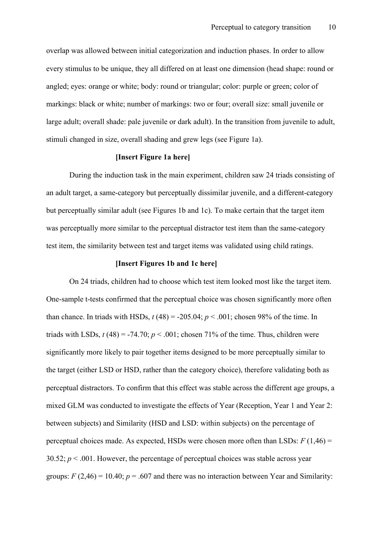overlap was allowed between initial categorization and induction phases. In order to allow every stimulus to be unique, they all differed on at least one dimension (head shape: round or angled; eyes: orange or white; body: round or triangular; color: purple or green; color of markings: black or white; number of markings: two or four; overall size: small juvenile or large adult; overall shade: pale juvenile or dark adult). In the transition from juvenile to adult, stimuli changed in size, overall shading and grew legs (see Figure 1a).

### **[Insert Figure 1a here]**

During the induction task in the main experiment, children saw 24 triads consisting of an adult target, a same-category but perceptually dissimilar juvenile, and a different-category but perceptually similar adult (see Figures 1b and 1c). To make certain that the target item was perceptually more similar to the perceptual distractor test item than the same-category test item, the similarity between test and target items was validated using child ratings.

### **[Insert Figures 1b and 1c here]**

On 24 triads, children had to choose which test item looked most like the target item. One-sample t-tests confirmed that the perceptual choice was chosen significantly more often than chance. In triads with HSDs,  $t(48) = -205.04$ ;  $p < .001$ ; chosen 98% of the time. In triads with LSDs,  $t(48) = -74.70$ ;  $p < .001$ ; chosen 71% of the time. Thus, children were significantly more likely to pair together items designed to be more perceptually similar to the target (either LSD or HSD, rather than the category choice), therefore validating both as perceptual distractors. To confirm that this effect was stable across the different age groups, a mixed GLM was conducted to investigate the effects of Year (Reception, Year 1 and Year 2: between subjects) and Similarity (HSD and LSD: within subjects) on the percentage of perceptual choices made. As expected, HSDs were chosen more often than LSDs:  $F(1,46) =$ 30.52;  $p < .001$ . However, the percentage of perceptual choices was stable across year groups:  $F(2,46) = 10.40$ ;  $p = .607$  and there was no interaction between Year and Similarity: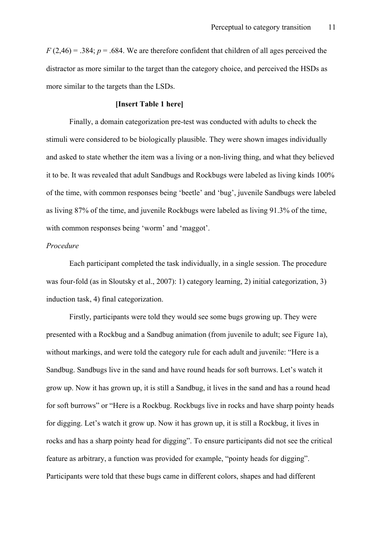$F(2,46) = .384$ ;  $p = .684$ . We are therefore confident that children of all ages perceived the distractor as more similar to the target than the category choice, and perceived the HSDs as more similar to the targets than the LSDs.

### **[Insert Table 1 here]**

Finally, a domain categorization pre-test was conducted with adults to check the stimuli were considered to be biologically plausible. They were shown images individually and asked to state whether the item was a living or a non-living thing, and what they believed it to be. It was revealed that adult Sandbugs and Rockbugs were labeled as living kinds 100% of the time, with common responses being 'beetle' and 'bug', juvenile Sandbugs were labeled as living 87% of the time, and juvenile Rockbugs were labeled as living 91.3% of the time, with common responses being 'worm' and 'maggot'.

## *Procedure*

Each participant completed the task individually, in a single session. The procedure was four-fold (as in Sloutsky et al., 2007): 1) category learning, 2) initial categorization, 3) induction task, 4) final categorization.

Firstly, participants were told they would see some bugs growing up. They were presented with a Rockbug and a Sandbug animation (from juvenile to adult; see Figure 1a), without markings, and were told the category rule for each adult and juvenile: "Here is a Sandbug. Sandbugs live in the sand and have round heads for soft burrows. Let's watch it grow up. Now it has grown up, it is still a Sandbug, it lives in the sand and has a round head for soft burrows" or "Here is a Rockbug. Rockbugs live in rocks and have sharp pointy heads for digging. Let's watch it grow up. Now it has grown up, it is still a Rockbug, it lives in rocks and has a sharp pointy head for digging". To ensure participants did not see the critical feature as arbitrary, a function was provided for example, "pointy heads for digging". Participants were told that these bugs came in different colors, shapes and had different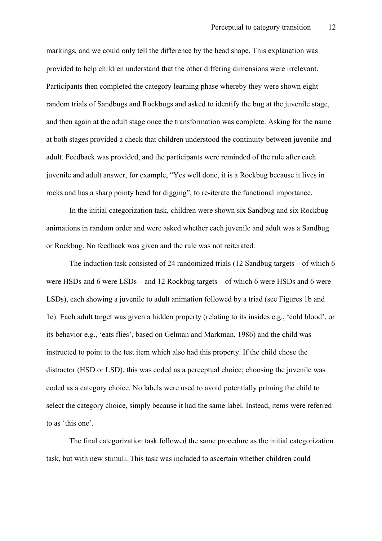markings, and we could only tell the difference by the head shape. This explanation was provided to help children understand that the other differing dimensions were irrelevant. Participants then completed the category learning phase whereby they were shown eight random trials of Sandbugs and Rockbugs and asked to identify the bug at the juvenile stage, and then again at the adult stage once the transformation was complete. Asking for the name at both stages provided a check that children understood the continuity between juvenile and adult. Feedback was provided, and the participants were reminded of the rule after each juvenile and adult answer, for example, "Yes well done, it is a Rockbug because it lives in rocks and has a sharp pointy head for digging", to re-iterate the functional importance.

In the initial categorization task, children were shown six Sandbug and six Rockbug animations in random order and were asked whether each juvenile and adult was a Sandbug or Rockbug. No feedback was given and the rule was not reiterated.

The induction task consisted of 24 randomized trials (12 Sandbug targets – of which 6 were HSDs and 6 were LSDs – and 12 Rockbug targets – of which 6 were HSDs and 6 were LSDs), each showing a juvenile to adult animation followed by a triad (see Figures 1b and 1c). Each adult target was given a hidden property (relating to its insides e.g., 'cold blood', or its behavior e.g., 'eats flies', based on Gelman and Markman, 1986) and the child was instructed to point to the test item which also had this property. If the child chose the distractor (HSD or LSD), this was coded as a perceptual choice; choosing the juvenile was coded as a category choice. No labels were used to avoid potentially priming the child to select the category choice, simply because it had the same label. Instead, items were referred to as 'this one'.

The final categorization task followed the same procedure as the initial categorization task, but with new stimuli. This task was included to ascertain whether children could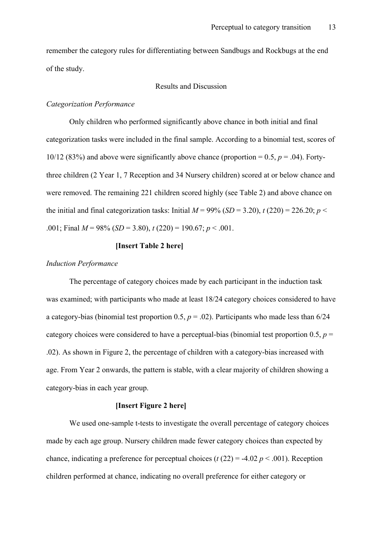remember the category rules for differentiating between Sandbugs and Rockbugs at the end of the study.

## Results and Discussion

## *Categorization Performance*

Only children who performed significantly above chance in both initial and final categorization tasks were included in the final sample. According to a binomial test, scores of 10/12 (83%) and above were significantly above chance (proportion  $= 0.5$ ,  $p = .04$ ). Fortythree children (2 Year 1, 7 Reception and 34 Nursery children) scored at or below chance and were removed. The remaining 221 children scored highly (see Table 2) and above chance on the initial and final categorization tasks: Initial  $M = 99\%$  (*SD* = 3.20),  $t(220) = 226.20$ ;  $p <$ .001; Final  $M = 98\%$  (*SD* = 3.80),  $t$  (220) = 190.67;  $p < .001$ .

## **[Insert Table 2 here]**

## *Induction Performance*

The percentage of category choices made by each participant in the induction task was examined; with participants who made at least 18/24 category choices considered to have a category-bias (binomial test proportion  $0.5$ ,  $p = .02$ ). Participants who made less than  $6/24$ category choices were considered to have a perceptual-bias (binomial test proportion  $0.5$ ,  $p =$ .02). As shown in Figure 2, the percentage of children with a category-bias increased with age. From Year 2 onwards, the pattern is stable, with a clear majority of children showing a category-bias in each year group.

## **[Insert Figure 2 here]**

We used one-sample t-tests to investigate the overall percentage of category choices made by each age group. Nursery children made fewer category choices than expected by chance, indicating a preference for perceptual choices ( $t$  (22) = -4.02  $p$  < .001). Reception children performed at chance, indicating no overall preference for either category or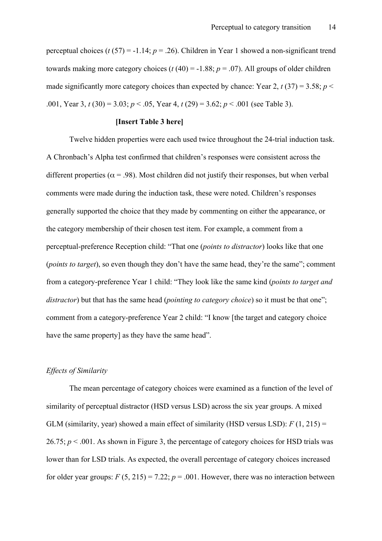perceptual choices (*t* (57) = -1.14; *p* = .26). Children in Year 1 showed a non-significant trend towards making more category choices ( $t$  (40) = -1.88;  $p = .07$ ). All groups of older children made significantly more category choices than expected by chance: Year 2,  $t(37) = 3.58$ ;  $p <$ .001, Year 3, *t* (30) = 3.03; *p* < .05, Year 4, *t* (29) = 3.62; *p* < .001 (see Table 3).

## **[Insert Table 3 here]**

Twelve hidden properties were each used twice throughout the 24-trial induction task. A Chronbach's Alpha test confirmed that children's responses were consistent across the different properties ( $\alpha$  = .98). Most children did not justify their responses, but when verbal comments were made during the induction task, these were noted. Children's responses generally supported the choice that they made by commenting on either the appearance, or the category membership of their chosen test item. For example, a comment from a perceptual-preference Reception child: "That one (*points to distractor*) looks like that one (*points to target*), so even though they don't have the same head, they're the same"; comment from a category-preference Year 1 child: "They look like the same kind (*points to target and distractor*) but that has the same head (*pointing to category choice*) so it must be that one"; comment from a category-preference Year 2 child: "I know [the target and category choice have the same property] as they have the same head".

### *Effects of Similarity*

The mean percentage of category choices were examined as a function of the level of similarity of perceptual distractor (HSD versus LSD) across the six year groups. A mixed GLM (similarity, year) showed a main effect of similarity (HSD versus LSD):  $F(1, 215) =$ 26.75;  $p < .001$ . As shown in Figure 3, the percentage of category choices for HSD trials was lower than for LSD trials. As expected, the overall percentage of category choices increased for older year groups:  $F(5, 215) = 7.22$ ;  $p = .001$ . However, there was no interaction between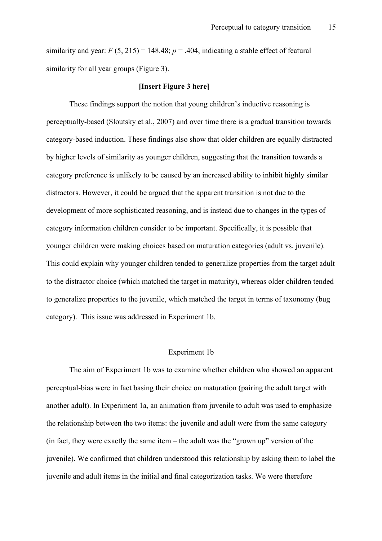similarity and year:  $F(5, 215) = 148.48$ ;  $p = .404$ , indicating a stable effect of featural similarity for all year groups (Figure 3).

### **[Insert Figure 3 here]**

These findings support the notion that young children's inductive reasoning is perceptually-based (Sloutsky et al., 2007) and over time there is a gradual transition towards category-based induction. These findings also show that older children are equally distracted by higher levels of similarity as younger children, suggesting that the transition towards a category preference is unlikely to be caused by an increased ability to inhibit highly similar distractors. However, it could be argued that the apparent transition is not due to the development of more sophisticated reasoning, and is instead due to changes in the types of category information children consider to be important. Specifically, it is possible that younger children were making choices based on maturation categories (adult vs. juvenile). This could explain why younger children tended to generalize properties from the target adult to the distractor choice (which matched the target in maturity), whereas older children tended to generalize properties to the juvenile, which matched the target in terms of taxonomy (bug category). This issue was addressed in Experiment 1b.

### Experiment 1b

The aim of Experiment 1b was to examine whether children who showed an apparent perceptual-bias were in fact basing their choice on maturation (pairing the adult target with another adult). In Experiment 1a, an animation from juvenile to adult was used to emphasize the relationship between the two items: the juvenile and adult were from the same category (in fact, they were exactly the same item – the adult was the "grown up" version of the juvenile). We confirmed that children understood this relationship by asking them to label the juvenile and adult items in the initial and final categorization tasks. We were therefore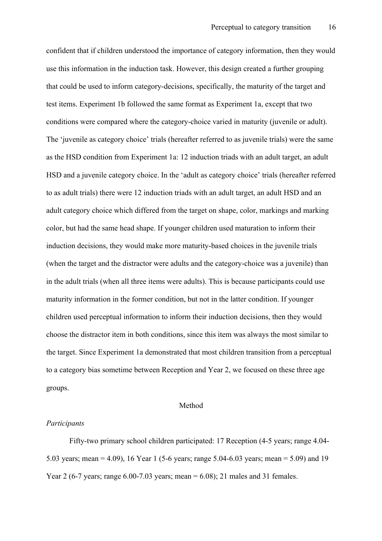confident that if children understood the importance of category information, then they would use this information in the induction task. However, this design created a further grouping that could be used to inform category-decisions, specifically, the maturity of the target and test items. Experiment 1b followed the same format as Experiment 1a, except that two conditions were compared where the category-choice varied in maturity (juvenile or adult). The 'juvenile as category choice' trials (hereafter referred to as juvenile trials) were the same as the HSD condition from Experiment 1a: 12 induction triads with an adult target, an adult HSD and a juvenile category choice. In the 'adult as category choice' trials (hereafter referred to as adult trials) there were 12 induction triads with an adult target, an adult HSD and an adult category choice which differed from the target on shape, color, markings and marking color, but had the same head shape. If younger children used maturation to inform their induction decisions, they would make more maturity-based choices in the juvenile trials (when the target and the distractor were adults and the category-choice was a juvenile) than in the adult trials (when all three items were adults). This is because participants could use maturity information in the former condition, but not in the latter condition. If younger children used perceptual information to inform their induction decisions, then they would choose the distractor item in both conditions, since this item was always the most similar to the target. Since Experiment 1a demonstrated that most children transition from a perceptual to a category bias sometime between Reception and Year 2, we focused on these three age groups.

### Method

#### *Participants*

Fifty-two primary school children participated: 17 Reception (4-5 years; range 4.04- 5.03 years; mean = 4.09), 16 Year 1 (5-6 years; range 5.04-6.03 years; mean = 5.09) and 19 Year 2 (6-7 years; range  $6.00$ -7.03 years; mean =  $6.08$ ); 21 males and 31 females.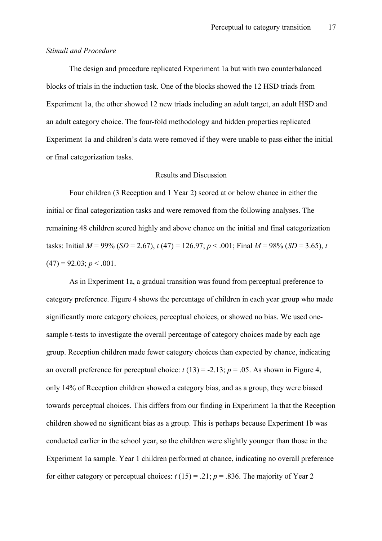### *Stimuli and Procedure*

The design and procedure replicated Experiment 1a but with two counterbalanced blocks of trials in the induction task. One of the blocks showed the 12 HSD triads from Experiment 1a, the other showed 12 new triads including an adult target, an adult HSD and an adult category choice. The four-fold methodology and hidden properties replicated Experiment 1a and children's data were removed if they were unable to pass either the initial or final categorization tasks.

## Results and Discussion

Four children (3 Reception and 1 Year 2) scored at or below chance in either the initial or final categorization tasks and were removed from the following analyses. The remaining 48 children scored highly and above chance on the initial and final categorization tasks: Initial  $M = 99\%$  (*SD* = 2.67),  $t(47) = 126.97$ ;  $p < .001$ ; Final  $M = 98\%$  (*SD* = 3.65),  $t$  $(47) = 92.03$ ;  $p < .001$ .

As in Experiment 1a, a gradual transition was found from perceptual preference to category preference. Figure 4 shows the percentage of children in each year group who made significantly more category choices, perceptual choices, or showed no bias. We used onesample t-tests to investigate the overall percentage of category choices made by each age group. Reception children made fewer category choices than expected by chance, indicating an overall preference for perceptual choice:  $t(13) = -2.13$ ;  $p = .05$ . As shown in Figure 4, only 14% of Reception children showed a category bias, and as a group, they were biased towards perceptual choices. This differs from our finding in Experiment 1a that the Reception children showed no significant bias as a group. This is perhaps because Experiment 1b was conducted earlier in the school year, so the children were slightly younger than those in the Experiment 1a sample. Year 1 children performed at chance, indicating no overall preference for either category or perceptual choices:  $t(15) = .21$ ;  $p = .836$ . The majority of Year 2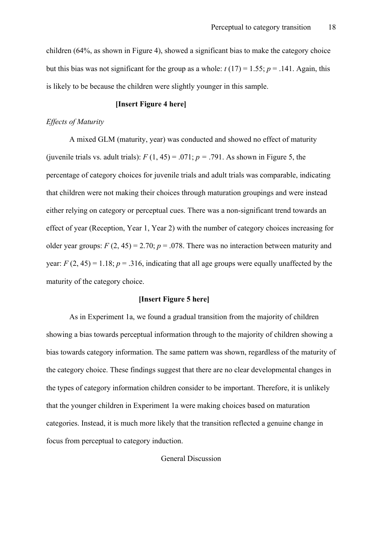children (64%, as shown in Figure 4), showed a significant bias to make the category choice but this bias was not significant for the group as a whole:  $t(17) = 1.55$ ;  $p = .141$ . Again, this is likely to be because the children were slightly younger in this sample.

## **[Insert Figure 4 here]**

#### *Effects of Maturity*

A mixed GLM (maturity, year) was conducted and showed no effect of maturity (juvenile trials vs. adult trials):  $F(1, 45) = .071$ ;  $p = .791$ . As shown in Figure 5, the percentage of category choices for juvenile trials and adult trials was comparable, indicating that children were not making their choices through maturation groupings and were instead either relying on category or perceptual cues. There was a non-significant trend towards an effect of year (Reception, Year 1, Year 2) with the number of category choices increasing for older year groups:  $F(2, 45) = 2.70$ ;  $p = .078$ . There was no interaction between maturity and year:  $F(2, 45) = 1.18$ ;  $p = 0.316$ , indicating that all age groups were equally unaffected by the maturity of the category choice.

#### **[Insert Figure 5 here]**

As in Experiment 1a, we found a gradual transition from the majority of children showing a bias towards perceptual information through to the majority of children showing a bias towards category information. The same pattern was shown, regardless of the maturity of the category choice. These findings suggest that there are no clear developmental changes in the types of category information children consider to be important. Therefore, it is unlikely that the younger children in Experiment 1a were making choices based on maturation categories. Instead, it is much more likely that the transition reflected a genuine change in focus from perceptual to category induction.

General Discussion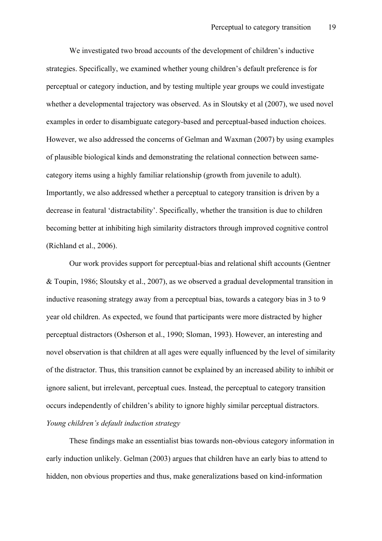We investigated two broad accounts of the development of children's inductive strategies. Specifically, we examined whether young children's default preference is for perceptual or category induction, and by testing multiple year groups we could investigate whether a developmental trajectory was observed. As in Sloutsky et al (2007), we used novel examples in order to disambiguate category-based and perceptual-based induction choices. However, we also addressed the concerns of Gelman and Waxman (2007) by using examples of plausible biological kinds and demonstrating the relational connection between samecategory items using a highly familiar relationship (growth from juvenile to adult). Importantly, we also addressed whether a perceptual to category transition is driven by a decrease in featural 'distractability'. Specifically, whether the transition is due to children becoming better at inhibiting high similarity distractors through improved cognitive control (Richland et al., 2006).

Our work provides support for perceptual-bias and relational shift accounts (Gentner & Toupin, 1986; Sloutsky et al., 2007), as we observed a gradual developmental transition in inductive reasoning strategy away from a perceptual bias, towards a category bias in 3 to 9 year old children. As expected, we found that participants were more distracted by higher perceptual distractors (Osherson et al., 1990; Sloman, 1993). However, an interesting and novel observation is that children at all ages were equally influenced by the level of similarity of the distractor. Thus, this transition cannot be explained by an increased ability to inhibit or ignore salient, but irrelevant, perceptual cues. Instead, the perceptual to category transition occurs independently of children's ability to ignore highly similar perceptual distractors. *Young children's default induction strategy*

These findings make an essentialist bias towards non-obvious category information in early induction unlikely. Gelman (2003) argues that children have an early bias to attend to hidden, non obvious properties and thus, make generalizations based on kind-information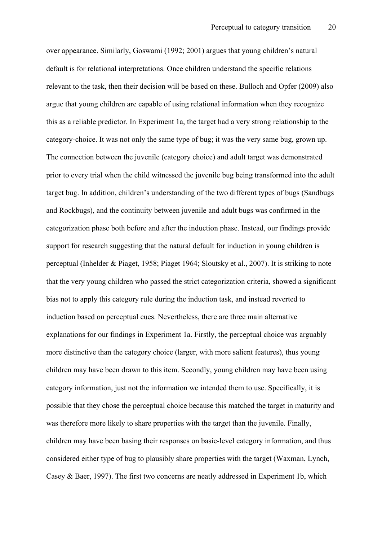over appearance. Similarly, Goswami (1992; 2001) argues that young children's natural default is for relational interpretations. Once children understand the specific relations relevant to the task, then their decision will be based on these. Bulloch and Opfer (2009) also argue that young children are capable of using relational information when they recognize this as a reliable predictor. In Experiment 1a, the target had a very strong relationship to the category-choice. It was not only the same type of bug; it was the very same bug, grown up. The connection between the juvenile (category choice) and adult target was demonstrated prior to every trial when the child witnessed the juvenile bug being transformed into the adult target bug. In addition, children's understanding of the two different types of bugs (Sandbugs and Rockbugs), and the continuity between juvenile and adult bugs was confirmed in the categorization phase both before and after the induction phase. Instead, our findings provide support for research suggesting that the natural default for induction in young children is perceptual (Inhelder & Piaget, 1958; Piaget 1964; Sloutsky et al., 2007). It is striking to note that the very young children who passed the strict categorization criteria, showed a significant bias not to apply this category rule during the induction task, and instead reverted to induction based on perceptual cues. Nevertheless, there are three main alternative explanations for our findings in Experiment 1a. Firstly, the perceptual choice was arguably more distinctive than the category choice (larger, with more salient features), thus young children may have been drawn to this item. Secondly, young children may have been using category information, just not the information we intended them to use. Specifically, it is possible that they chose the perceptual choice because this matched the target in maturity and was therefore more likely to share properties with the target than the juvenile. Finally, children may have been basing their responses on basic-level category information, and thus considered either type of bug to plausibly share properties with the target (Waxman, Lynch, Casey & Baer, 1997). The first two concerns are neatly addressed in Experiment 1b, which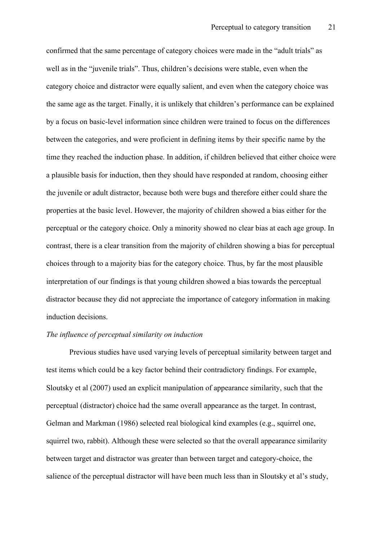confirmed that the same percentage of category choices were made in the "adult trials" as well as in the "juvenile trials". Thus, children's decisions were stable, even when the category choice and distractor were equally salient, and even when the category choice was the same age as the target. Finally, it is unlikely that children's performance can be explained by a focus on basic-level information since children were trained to focus on the differences between the categories, and were proficient in defining items by their specific name by the time they reached the induction phase. In addition, if children believed that either choice were a plausible basis for induction, then they should have responded at random, choosing either the juvenile or adult distractor, because both were bugs and therefore either could share the properties at the basic level. However, the majority of children showed a bias either for the perceptual or the category choice. Only a minority showed no clear bias at each age group. In contrast, there is a clear transition from the majority of children showing a bias for perceptual choices through to a majority bias for the category choice. Thus, by far the most plausible interpretation of our findings is that young children showed a bias towards the perceptual distractor because they did not appreciate the importance of category information in making induction decisions.

## *The influence of perceptual similarity on induction*

Previous studies have used varying levels of perceptual similarity between target and test items which could be a key factor behind their contradictory findings. For example, Sloutsky et al (2007) used an explicit manipulation of appearance similarity, such that the perceptual (distractor) choice had the same overall appearance as the target. In contrast, Gelman and Markman (1986) selected real biological kind examples (e.g., squirrel one, squirrel two, rabbit). Although these were selected so that the overall appearance similarity between target and distractor was greater than between target and category-choice, the salience of the perceptual distractor will have been much less than in Sloutsky et al's study,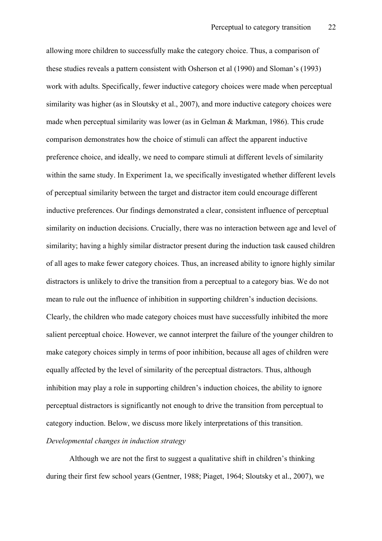allowing more children to successfully make the category choice. Thus, a comparison of these studies reveals a pattern consistent with Osherson et al (1990) and Sloman's (1993) work with adults. Specifically, fewer inductive category choices were made when perceptual similarity was higher (as in Sloutsky et al., 2007), and more inductive category choices were made when perceptual similarity was lower (as in Gelman & Markman, 1986). This crude comparison demonstrates how the choice of stimuli can affect the apparent inductive preference choice, and ideally, we need to compare stimuli at different levels of similarity within the same study. In Experiment 1a, we specifically investigated whether different levels of perceptual similarity between the target and distractor item could encourage different inductive preferences. Our findings demonstrated a clear, consistent influence of perceptual similarity on induction decisions. Crucially, there was no interaction between age and level of similarity; having a highly similar distractor present during the induction task caused children of all ages to make fewer category choices. Thus, an increased ability to ignore highly similar distractors is unlikely to drive the transition from a perceptual to a category bias. We do not mean to rule out the influence of inhibition in supporting children's induction decisions. Clearly, the children who made category choices must have successfully inhibited the more salient perceptual choice. However, we cannot interpret the failure of the younger children to make category choices simply in terms of poor inhibition, because all ages of children were equally affected by the level of similarity of the perceptual distractors. Thus, although inhibition may play a role in supporting children's induction choices, the ability to ignore perceptual distractors is significantly not enough to drive the transition from perceptual to category induction. Below, we discuss more likely interpretations of this transition.

# *Developmental changes in induction strategy*

Although we are not the first to suggest a qualitative shift in children's thinking during their first few school years (Gentner, 1988; Piaget, 1964; Sloutsky et al., 2007), we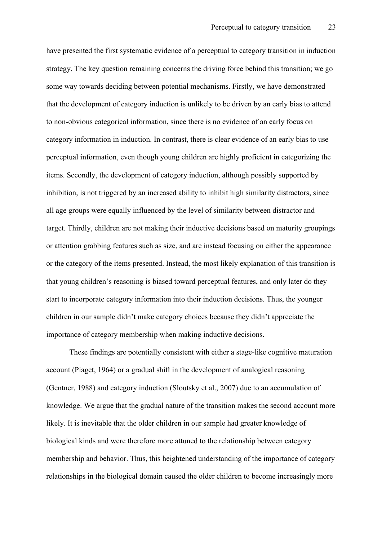have presented the first systematic evidence of a perceptual to category transition in induction strategy. The key question remaining concerns the driving force behind this transition; we go some way towards deciding between potential mechanisms. Firstly, we have demonstrated that the development of category induction is unlikely to be driven by an early bias to attend to non-obvious categorical information, since there is no evidence of an early focus on category information in induction. In contrast, there is clear evidence of an early bias to use perceptual information, even though young children are highly proficient in categorizing the items. Secondly, the development of category induction, although possibly supported by inhibition, is not triggered by an increased ability to inhibit high similarity distractors, since all age groups were equally influenced by the level of similarity between distractor and target. Thirdly, children are not making their inductive decisions based on maturity groupings or attention grabbing features such as size, and are instead focusing on either the appearance or the category of the items presented. Instead, the most likely explanation of this transition is that young children's reasoning is biased toward perceptual features, and only later do they start to incorporate category information into their induction decisions. Thus, the younger children in our sample didn't make category choices because they didn't appreciate the importance of category membership when making inductive decisions.

These findings are potentially consistent with either a stage-like cognitive maturation account (Piaget, 1964) or a gradual shift in the development of analogical reasoning (Gentner, 1988) and category induction (Sloutsky et al., 2007) due to an accumulation of knowledge. We argue that the gradual nature of the transition makes the second account more likely. It is inevitable that the older children in our sample had greater knowledge of biological kinds and were therefore more attuned to the relationship between category membership and behavior. Thus, this heightened understanding of the importance of category relationships in the biological domain caused the older children to become increasingly more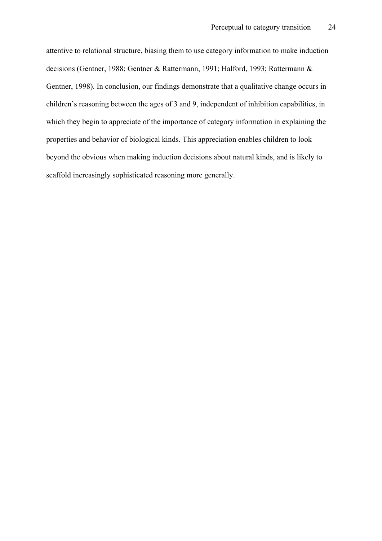attentive to relational structure, biasing them to use category information to make induction decisions (Gentner, 1988; Gentner & Rattermann, 1991; Halford, 1993; Rattermann & Gentner, 1998). In conclusion, our findings demonstrate that a qualitative change occurs in children's reasoning between the ages of 3 and 9, independent of inhibition capabilities, in which they begin to appreciate of the importance of category information in explaining the properties and behavior of biological kinds. This appreciation enables children to look beyond the obvious when making induction decisions about natural kinds, and is likely to scaffold increasingly sophisticated reasoning more generally.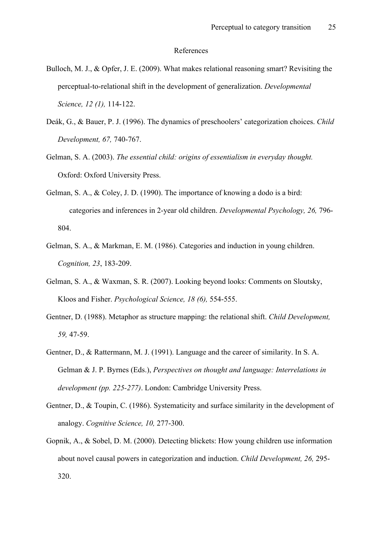#### References

- Bulloch, M. J., & Opfer, J. E. (2009). What makes relational reasoning smart? Revisiting the perceptual-to-relational shift in the development of generalization. *Developmental Science, 12 (1),* 114-122.
- Deák, G., & Bauer, P. J. (1996). The dynamics of preschoolers' categorization choices. *Child Development, 67,* 740-767.
- Gelman, S. A. (2003). *The essential child: origins of essentialism in everyday thought.* Oxford: Oxford University Press.
- Gelman, S. A., & Coley, J. D. (1990). The importance of knowing a dodo is a bird: categories and inferences in 2-year old children. *Developmental Psychology, 26,* 796- 804.
- Gelman, S. A., & Markman, E. M. (1986). Categories and induction in young children. *Cognition, 23*, 183-209.
- Gelman, S. A., & Waxman, S. R. (2007). Looking beyond looks: Comments on Sloutsky, Kloos and Fisher. *Psychological Science, 18 (6),* 554-555.
- Gentner, D. (1988). Metaphor as structure mapping: the relational shift. *Child Development, 59,* 47-59.
- Gentner, D., & Rattermann, M. J. (1991). Language and the career of similarity. In S. A. Gelman & J. P. Byrnes (Eds.), *Perspectives on thought and language: Interrelations in development (pp. 225-277)*. London: Cambridge University Press.
- Gentner, D., & Toupin, C. (1986). Systematicity and surface similarity in the development of analogy. *Cognitive Science, 10,* 277-300.
- Gopnik, A., & Sobel, D. M. (2000). Detecting blickets: How young children use information about novel causal powers in categorization and induction. *Child Development, 26,* 295- 320.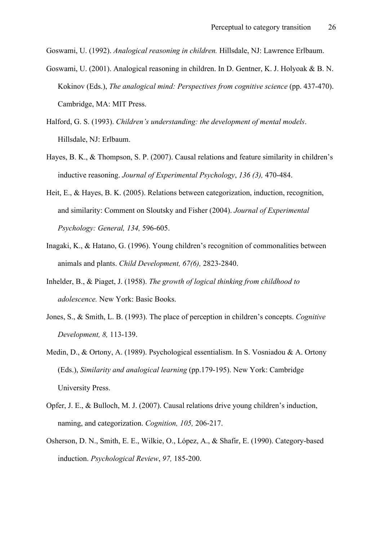Goswami, U. (1992). *Analogical reasoning in children.* Hillsdale, NJ: Lawrence Erlbaum.

- Goswami, U. (2001). Analogical reasoning in children. In D. Gentner, K. J. Holyoak & B. N. Kokinov (Eds.), *The analogical mind: Perspectives from cognitive science* (pp. 437-470). Cambridge, MA: MIT Press.
- Halford, G. S. (1993). *Children's understanding: the development of mental models*. Hillsdale, NJ: Erlbaum.
- Hayes, B. K., & Thompson, S. P. (2007). Causal relations and feature similarity in children's inductive reasoning. *Journal of Experimental Psychology*, *136 (3),* 470-484.
- Heit, E., & Hayes, B. K. (2005). Relations between categorization, induction, recognition, and similarity: Comment on Sloutsky and Fisher (2004). *Journal of Experimental Psychology: General, 134,* 596-605.
- Inagaki, K., & Hatano, G. (1996). Young children's recognition of commonalities between animals and plants. *Child Development, 67(6),* 2823-2840.
- Inhelder, B., & Piaget, J. (1958). *The growth of logical thinking from childhood to adolescence.* New York: Basic Books.
- Jones, S., & Smith, L. B. (1993). The place of perception in children's concepts. *Cognitive Development, 8,* 113-139.
- Medin, D., & Ortony, A. (1989). Psychological essentialism. In S. Vosniadou & A. Ortony (Eds.), *Similarity and analogical learning* (pp.179-195). New York: Cambridge University Press.
- Opfer, J. E., & Bulloch, M. J. (2007). Causal relations drive young children's induction, naming, and categorization. *Cognition, 105,* 206-217.
- Osherson, D. N., Smith, E. E., Wilkie, O., López, A., & Shafir, E. (1990). Category-based induction. *Psychological Review*, *97,* 185-200.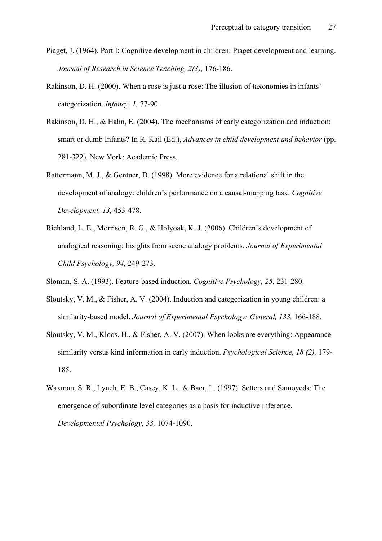- Piaget, J. (1964). Part I: Cognitive development in children: Piaget development and learning. *Journal of Research in Science Teaching, 2(3),* 176-186.
- Rakinson, D. H. (2000). When a rose is just a rose: The illusion of taxonomies in infants' categorization. *Infancy, 1,* 77-90.
- Rakinson, D. H., & Hahn, E. (2004). The mechanisms of early categorization and induction: smart or dumb Infants? In R. Kail (Ed.), *Advances in child development and behavior* (pp. 281-322). New York: Academic Press.
- Rattermann, M. J., & Gentner, D. (1998). More evidence for a relational shift in the development of analogy: children's performance on a causal-mapping task. *Cognitive Development, 13,* 453-478.
- Richland, L. E., Morrison, R. G., & Holyoak, K. J. (2006). Children's development of analogical reasoning: Insights from scene analogy problems. *Journal of Experimental Child Psychology, 94,* 249-273.
- Sloman, S. A. (1993). Feature-based induction. *Cognitive Psychology, 25,* 231-280.
- Sloutsky, V. M., & Fisher, A. V. (2004). Induction and categorization in young children: a similarity-based model. *Journal of Experimental Psychology: General, 133,* 166-188.
- Sloutsky, V. M., Kloos, H., & Fisher, A. V. (2007). When looks are everything: Appearance similarity versus kind information in early induction. *Psychological Science, 18 (2),* 179- 185.
- Waxman, S. R., Lynch, E. B., Casey, K. L., & Baer, L. (1997). Setters and Samoyeds: The emergence of subordinate level categories as a basis for inductive inference. *Developmental Psychology, 33,* 1074-1090.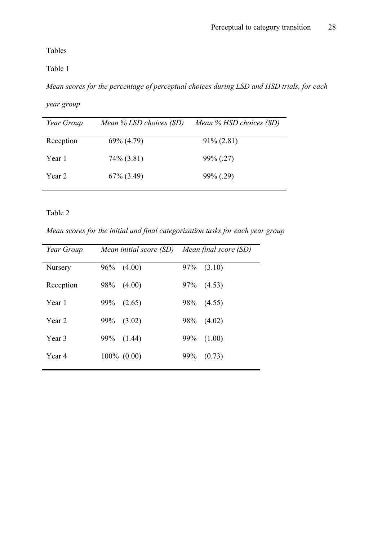Tables

Table 1

*Mean scores for the percentage of perceptual choices during LSD and HSD trials, for each* 

```
year group
```

| Year Group | Mean $\%$ LSD choices (SD) | Mean $%$ HSD choices (SD) |
|------------|----------------------------|---------------------------|
| Reception  | $69\% (4.79)$              | $91\% (2.81)$             |
| Year 1     | $74\%$ (3.81)              | $99\%$ (.27)              |
| Year 2     | $67\%$ $(3.49)$            | $99\%$ (.29)              |

Table 2

*Mean scores for the initial and final categorization tasks for each year group*

| Year Group | Mean initial score (SD) | Mean final score (SD) |
|------------|-------------------------|-----------------------|
| Nursery    | 96%<br>(4.00)           | 97%<br>(3.10)         |
| Reception  | 98%<br>(4.00)           | 97%<br>(4.53)         |
| Year 1     | 99%<br>(2.65)           | 98%<br>(4.55)         |
| Year 2     | 99%<br>(3.02)           | 98%<br>(4.02)         |
| Year 3     | 99%<br>(1.44)           | 99%<br>(1.00)         |
| Year 4     | $100\%$ $(0.00)$        | 99%<br>(0.73)         |
|            |                         |                       |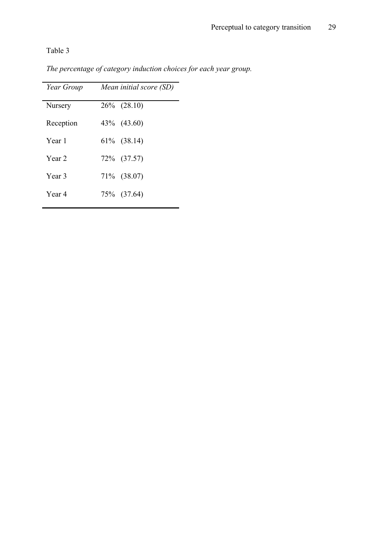Table 3

| Year Group | Mean initial score (SD) |  |
|------------|-------------------------|--|
| Nursery    | $26\%$ $(28.10)$        |  |
| Reception  | 43\% (43.60)            |  |
| Year 1     | 61\% (38.14)            |  |
| Year 2     | 72\% (37.57)            |  |
| Year 3     | 71% (38.07)             |  |
| Year 4     | 75\% (37.64)            |  |

*The percentage of category induction choices for each year group.*